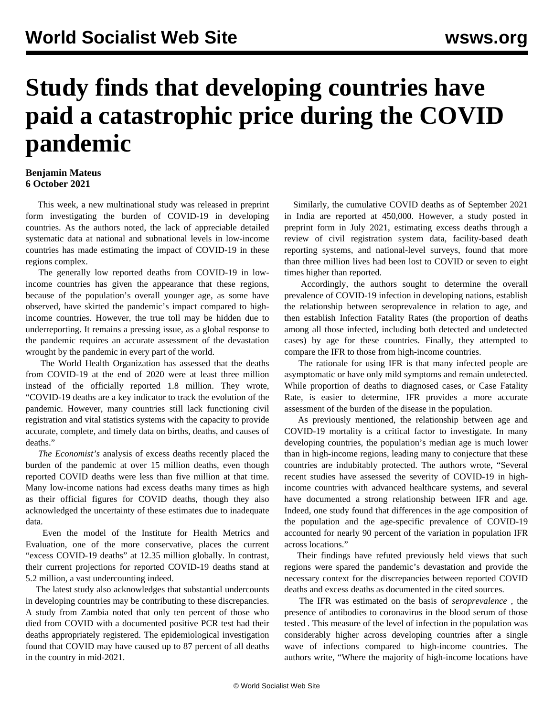## **Study finds that developing countries have paid a catastrophic price during the COVID pandemic**

## **Benjamin Mateus 6 October 2021**

 This week, a new [multinational study](https://www.medrxiv.org/content/10.1101/2021.09.29.21264325v1) was released in preprint form investigating the burden of COVID-19 in developing countries. As the authors noted, the lack of appreciable detailed systematic data at national and subnational levels in low-income countries has made estimating the impact of COVID-19 in these regions complex.

 The generally low reported deaths from COVID-19 in lowincome countries has given the appearance that these regions, because of the population's overall younger age, as some have observed, have skirted the pandemic's impact compared to highincome countries. However, the true toll may be hidden due to underreporting. It remains a pressing issue, as a global response to the pandemic requires an accurate assessment of the devastation wrought by the pandemic in every part of the world.

 The [World Health Organization](https://www.who.int/data/stories/the-true-death-toll-of-covid-19-estimating-global-excess-mortality) has assessed that the deaths from COVID-19 at the end of 2020 were at least three million instead of the officially reported 1.8 million. They wrote, "COVID-19 deaths are a key indicator to track the evolution of the pandemic. However, many countries still lack functioning civil registration and vital statistics systems with the capacity to provide accurate, complete, and timely data on births, deaths, and causes of deaths."

 *The Economist's* analysis of excess deaths recently placed the burden of the pandemic at over 15 million deaths, even though reported COVID deaths were less than five million at that time. Many low-income nations had excess deaths many times as high as their official figures for COVID deaths, though they also acknowledged the uncertainty of these estimates due to inadequate data.

 Even the model of the Institute for Health Metrics and Evaluation, one of the more conservative, places the current "excess COVID-19 deaths" at 12.35 million globally. In contrast, their current projections for reported COVID-19 deaths stand at 5.2 million, a vast undercounting indeed.

 The latest study also acknowledges that substantial undercounts in developing countries may be contributing to these discrepancies. A study from [Zambia](https://www.bmj.com/content/372/bmj.n334) noted that only ten percent of those who died from COVID with a documented positive PCR test had their deaths appropriately registered. The epidemiological investigation found that COVID may have caused up to 87 percent of all deaths in the country in mid-2021.

 Similarly, the cumulative COVID deaths as of September 2021 in India are reported at 450,000. However, a study posted in preprint form in July 2021, estimating excess deaths through a review of civil registration system data, facility-based death reporting systems, and national-level surveys, found that more than three million lives had been lost to COVID or seven to eight times higher than reported.

 Accordingly, the authors sought to determine the overall prevalence of COVID-19 infection in developing nations, establish the relationship between seroprevalence in relation to age, and then establish Infection Fatality Rates (the proportion of deaths among all those infected, including both detected and undetected cases) by age for these countries. Finally, they attempted to compare the IFR to those from high-income countries.

 The rationale for using IFR is that many infected people are asymptomatic or have only mild symptoms and remain undetected. While proportion of deaths to diagnosed cases, or Case Fatality Rate, is easier to determine, IFR provides a more accurate assessment of the burden of the disease in the population.

 As previously mentioned, the relationship between age and COVID-19 mortality is a critical factor to investigate. In many developing countries, the population's median age is much lower than in high-income regions, leading many to conjecture that these countries are indubitably protected. The authors wrote, "Several recent studies have assessed the severity of COVID-19 in highincome countries with advanced healthcare systems, and several have documented a strong relationship between IFR and age. Indeed, one study found that differences in the age composition of the population and the age-specific prevalence of COVID-19 accounted for nearly 90 percent of the variation in population IFR across locations."

 Their findings have refuted previously held views that such regions were spared the pandemic's devastation and provide the necessary context for the discrepancies between reported COVID deaths and excess deaths as documented in the cited sources.

 The IFR was estimated on the basis of *seroprevalence ,* the presence of antibodies to coronavirus in the blood serum of those tested *.* This measure of the level of infection in the population was considerably higher across developing countries after a single wave of infections compared to high-income countries. The authors write, "Where the majority of high-income locations have